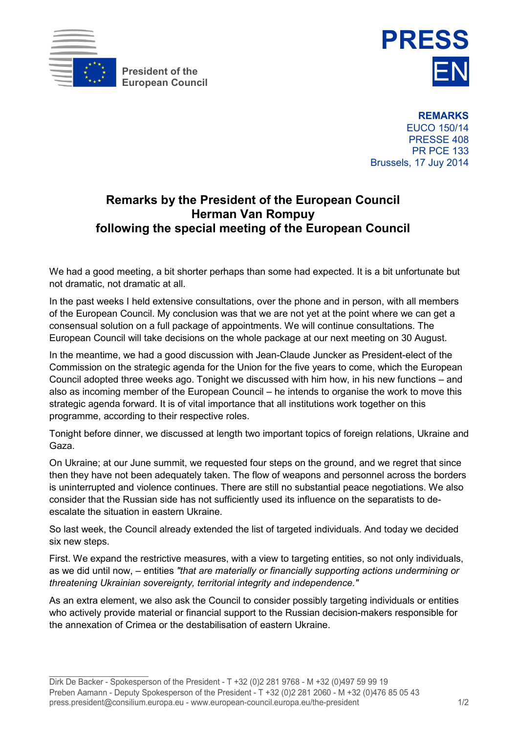

**President of the** 



**REMARKS** EUCO 150/14 PRESSE 408 PR PCE 133 Brussels, 17 Juy 2014

## **Remarks by the President of the European Council Herman Van Rompuy following the special meeting of the European Council**

We had a good meeting, a bit shorter perhaps than some had expected. It is a bit unfortunate but not dramatic, not dramatic at all.

In the past weeks I held extensive consultations, over the phone and in person, with all members of the European Council. My conclusion was that we are not yet at the point where we can get a consensual solution on a full package of appointments. We will continue consultations. The European Council will take decisions on the whole package at our next meeting on 30 August.

In the meantime, we had a good discussion with Jean-Claude Juncker as President-elect of the Commission on the strategic agenda for the Union for the five years to come, which the European Council adopted three weeks ago. Tonight we discussed with him how, in his new functions – and also as incoming member of the European Council – he intends to organise the work to move this strategic agenda forward. It is of vital importance that all institutions work together on this programme, according to their respective roles.

Tonight before dinner, we discussed at length two important topics of foreign relations, Ukraine and Gaza.

On Ukraine; at our June summit, we requested four steps on the ground, and we regret that since then they have not been adequately taken. The flow of weapons and personnel across the borders is uninterrupted and violence continues. There are still no substantial peace negotiations. We also consider that the Russian side has not sufficiently used its influence on the separatists to deescalate the situation in eastern Ukraine.

So last week, the Council already extended the list of targeted individuals. And today we decided six new steps.

First. We expand the restrictive measures, with a view to targeting entities, so not only individuals, as we did until now, – entities *"that are materially or financially supporting actions undermining or threatening Ukrainian sovereignty, territorial integrity and independence."*

As an extra element, we also ask the Council to consider possibly targeting individuals or entities who actively provide material or financial support to the Russian decision-makers responsible for the annexation of Crimea or the destabilisation of eastern Ukraine.